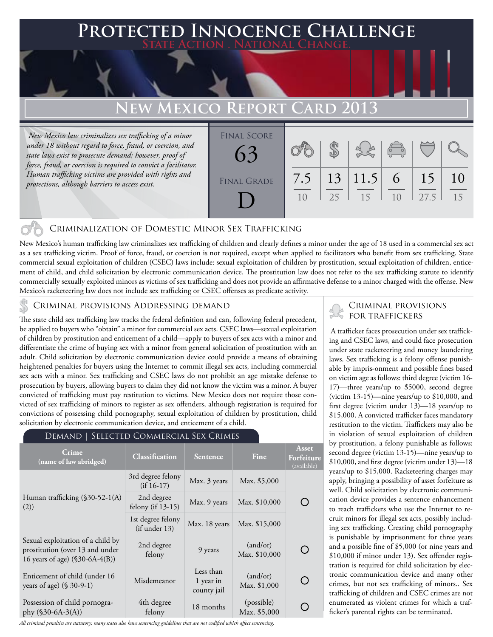# **Protected Innocence Challenge State Action . National Change.**

# **EW MEXICO REPORT CARD 2013**

 *New Mexico law criminalizes sex trafficking of a minor under 18 without regard to force, fraud, or coercion, and state laws exist to prosecute demand; however, proof of force, fraud, or coercion is required to convict a facilitator. Human trafficking victims are provided with rights and protections, although barriers to access exist.*

| <b>FINAL SCORE</b><br>63 |           |    |                | $\sqrt{\frac{1}{10}}$ |            |          |
|--------------------------|-----------|----|----------------|-----------------------|------------|----------|
| <b>FINAL GRADE</b>       | 7.5<br>10 | 25 | 13 11.5 <br>15 | 6<br>10               | 15<br>27.5 | 10<br>15 |

# Criminalization of Domestic Minor Sex Trafficking

New Mexico's human trafficking law criminalizes sex trafficking of children and clearly defines a minor under the age of 18 used in a commercial sex act as a sex trafficking victim. Proof of force, fraud, or coercion is not required, except when applied to facilitators who benefit from sex trafficking. State commercial sexual exploitation of children (CSEC) laws include: sexual exploitation of children by prostitution, sexual exploitation of children, enticement of child, and child solicitation by electronic communication device. The prostitution law does not refer to the sex trafficking statute to identify commercially sexually exploited minors as victims of sex trafficking and does not provide an affirmative defense to a minor charged with the offense. New Mexico's racketeering law does not include sex trafficking or CSEC offenses as predicate activity.

### Criminal provisions Addressing demand

The state child sex trafficking law tracks the federal definition and can, following federal precedent, be applied to buyers who "obtain" a minor for commercial sex acts. CSEC laws—sexual exploitation of children by prostitution and enticement of a child—apply to buyers of sex acts with a minor and differentiate the crime of buying sex with a minor from general solicitation of prostitution with an adult. Child solicitation by electronic communication device could provide a means of obtaining heightened penalties for buyers using the Internet to commit illegal sex acts, including commercial sex acts with a minor. Sex trafficking and CSEC laws do not prohibit an age mistake defense to prosecution by buyers, allowing buyers to claim they did not know the victim was a minor. A buyer convicted of trafficking must pay restitution to victims. New Mexico does not require those convicted of sex trafficking of minors to register as sex offenders, although registration is required for convictions of possessing child pornography, sexual exploitation of children by prostitution, child solicitation by electronic communication device, and enticement of a child.

#### Demand | Selected Commercial Sex Crimes

| Crime<br>(name of law abridged)                                                                         | <b>Classification</b>              | <b>Sentence</b>                       | Fine                       | Asset<br>Forfeiture<br>(available) |
|---------------------------------------------------------------------------------------------------------|------------------------------------|---------------------------------------|----------------------------|------------------------------------|
|                                                                                                         | 3rd degree felony<br>$(if 16-17)$  | Max. 3 years                          | Max. \$5,000               |                                    |
| Human trafficking (§30-52-1(A)<br>(2))                                                                  | 2nd degree<br>felony (if 13-15)    | Max. 9 years                          | Max. \$10,000              |                                    |
|                                                                                                         | 1st degree felony<br>(if under 13) | Max. 18 years                         | Max. \$15,000              |                                    |
| Sexual exploitation of a child by<br>prostitution (over 13 and under<br>16 years of age) (\$30-6A-4(B)) | 2nd degree<br>felony               | 9 years                               | (and/or)<br>Max. \$10,000  |                                    |
| Enticement of child (under 16<br>years of age) (§ 30-9-1)                                               | Misdemeanor                        | Less than<br>1 year in<br>county jail | (and/or)<br>Max. \$1,000   |                                    |
| Possession of child pornogra-<br>phy $(\$30-6A-3(A))$                                                   | 4th degree<br>felony               | 18 months                             | (possible)<br>Max. \$5,000 |                                    |

*All criminal penalties are statutory; many states also have sentencing guidelines that are not codified which affect sentencing.* 

## Criminal provisions for traffickers

 A trafficker faces prosecution under sex trafficking and CSEC laws, and could face prosecution under state racketeering and money laundering laws. Sex trafficking is a felony offense punishable by impris-onment and possible fines based on victim age as follows: third degree (victim 16- 17)—three years/up to \$5000, second degree (victim 13-15)—nine years/up to \$10,000, and first degree (victim under 13)—18 years/up to \$15,000. A convicted trafficker faces mandatory restitution to the victim. Traffickers may also be in violation of sexual exploitation of children by prostitution, a felony punishable as follows: second degree (victim 13-15)—nine years/up to \$10,000, and first degree (victim under 13)—18 years/up to \$15,000. Racketeering charges may apply, bringing a possibility of asset forfeiture as well. Child solicitation by electronic communication device provides a sentence enhancement to reach traffickers who use the Internet to recruit minors for illegal sex acts, possibly including sex trafficking. Creating child pornography is punishable by imprisonment for three years and a possible fine of \$5,000 (or nine years and \$10,000 if minor under 13). Sex offender registration is required for child solicitation by electronic communication device and many other crimes, but not sex trafficking of minors.. Sex trafficking of children and CSEC crimes are not enumerated as violent crimes for which a trafficker's parental rights can be terminated.